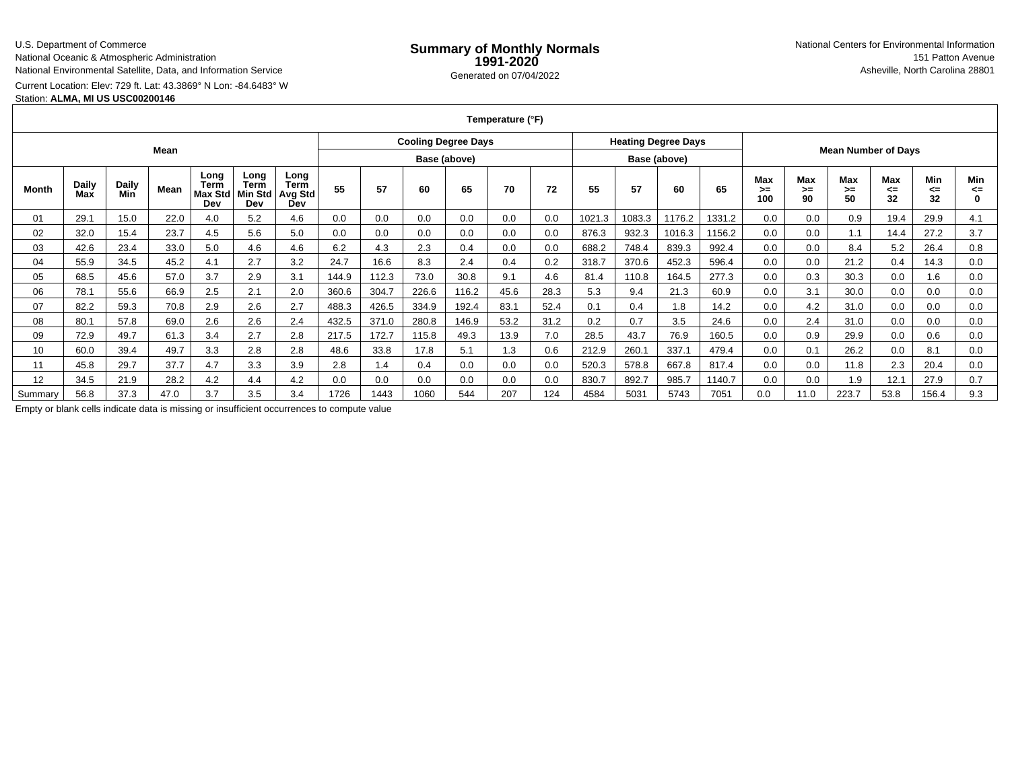# U.S. Department of Commerce

National Oceanic & Atmospheric Administration

National Environmental Satellite, Data, and Information Service

Current Location: Elev: 729 ft. Lat: 43.3869° N Lon: -84.6483° WStation: **ALMA, MI US USC00200146**

**Temperature (°F)**

|         |              |              | Mean |                                       |                                |                                       |       |       |              | <b>Cooling Degree Days</b> |      |      |        | <b>Heating Degree Days</b> |              |        | <b>Mean Number of Days</b> |                 |                 |                        |                 |           |
|---------|--------------|--------------|------|---------------------------------------|--------------------------------|---------------------------------------|-------|-------|--------------|----------------------------|------|------|--------|----------------------------|--------------|--------|----------------------------|-----------------|-----------------|------------------------|-----------------|-----------|
|         |              |              |      |                                       |                                |                                       |       |       | Base (above) |                            |      |      |        |                            | Base (above) |        |                            |                 |                 |                        |                 |           |
| Month   | Daily<br>Max | Daily<br>Min | Mean | Long<br>Term<br><b>Max Std</b><br>Dev | Long<br>Term<br>Min Std<br>Dev | Long<br><b>Term</b><br>Avg Std<br>Dev | 55    | 57    | 60           | 65                         | 70   | 72   | 55     | 57                         | 60           | 65     | Max<br>➤<br>100            | Max<br>≻=<br>90 | Max<br>>=<br>50 | <b>Max</b><br><=<br>32 | Min<br><=<br>32 | Min<br><= |
| 01      | 29.1         | 15.0         | 22.0 | 4.0                                   | 5.2                            | 4.6                                   | 0.0   | 0.0   | 0.0          | 0.0                        | 0.0  | 0.0  | 1021.3 | 1083.3                     | 1176.2       | 1331.2 | 0.0                        | 0.0             | 0.9             | 19.4                   | 29.9            | 4.1       |
| 02      | 32.0         | 15.4         | 23.7 | 4.5                                   | 5.6                            | 5.0                                   | 0.0   | 0.0   | 0.0          | 0.0                        | 0.0  | 0.0  | 876.3  | 932.3                      | 1016.3       | 1156.2 | 0.0                        | 0.0             | 1.1             | 14.4                   | 27.2            | 3.7       |
| 03      | 42.6         | 23.4         | 33.0 | 5.0                                   | 4.6                            | 4.6                                   | 6.2   | 4.3   | 2.3          | 0.4                        | 0.0  | 0.0  | 688.2  | 748.4                      | 839.3        | 992.4  | 0.0                        | 0.0             | 8.4             | 5.2                    | 26.4            | 0.8       |
| 04      | 55.9         | 34.5         | 45.2 | 4.1                                   | 2.7                            | 3.2                                   | 24.7  | 16.6  | 8.3          | 2.4                        | 0.4  | 0.2  | 318.7  | 370.6                      | 452.3        | 596.4  | 0.0                        | 0.0             | 21.2            | 0.4                    | 14.3            | 0.0       |
| 05      | 68.5         | 45.6         | 57.0 | 3.7                                   | 2.9                            | 3.1                                   | 144.9 | 112.3 | 73.0         | 30.8                       | 9.1  | 4.6  | 81.4   | 110.8                      | 164.5        | 277.3  | 0.0                        | 0.3             | 30.3            | 0.0                    | 1.6             | 0.0       |
| 06      | 78.1         | 55.6         | 66.9 | 2.5                                   | 2.1                            | 2.0                                   | 360.6 | 304.7 | 226.6        | 116.2                      | 45.6 | 28.3 | 5.3    | 9.4                        | 21.3         | 60.9   | 0.0                        | 3.1             | 30.0            | 0.0                    | 0.0             | 0.0       |
| 07      | 82.2         | 59.3         | 70.8 | 2.9                                   | 2.6                            | 2.7                                   | 488.3 | 426.5 | 334.9        | 192.4                      | 83.1 | 52.4 | 0.1    | 0.4                        | 1.8          | 14.2   | 0.0                        | 4.2             | 31.0            | 0.0                    | 0.0             | 0.0       |
| 08      | 80.1         | 57.8         | 69.0 | 2.6                                   | 2.6                            | 2.4                                   | 432.5 | 371.0 | 280.8        | 146.9                      | 53.2 | 31.2 | 0.2    | 0.7                        | 3.5          | 24.6   | 0.0                        | 2.4             | 31.0            | 0.0                    | 0.0             | 0.0       |
| 09      | 72.9         | 49.7         | 61.3 | 3.4                                   | 2.7                            | 2.8                                   | 217.5 | 172.7 | 115.8        | 49.3                       | 13.9 | 7.0  | 28.5   | 43.7                       | 76.9         | 160.5  | 0.0                        | 0.9             | 29.9            | 0.0                    | 0.6             | 0.0       |
| 10      | 60.0         | 39.4         | 49.7 | 3.3                                   | 2.8                            | 2.8                                   | 48.6  | 33.8  | 17.8         | 5.1                        | 1.3  | 0.6  | 212.9  | 260.1                      | 337.1        | 479.4  | 0.0                        | 0.1             | 26.2            | 0.0                    | 8.1             | 0.0       |
| 11      | 45.8         | 29.7         | 37.7 | 4.7                                   | 3.3                            | 3.9                                   | 2.8   | 1.4   | 0.4          | 0.0                        | 0.0  | 0.0  | 520.3  | 578.8                      | 667.8        | 817.4  | 0.0                        | 0.0             | 11.8            | 2.3                    | 20.4            | 0.0       |
| 12      | 34.5         | 21.9         | 28.2 | 4.2                                   | 4.4                            | 4.2                                   | 0.0   | 0.0   | 0.0          | 0.0                        | 0.0  | 0.0  | 830.7  | 892.7                      | 985.7        | 1140.7 | 0.0                        | 0.0             | 1.9             | 12.1                   | 27.9            | 0.7       |
| Summary | 56.8         | 37.3         | 47.0 | 3.7                                   | 3.5                            | 3.4                                   | 1726  | 1443  | 1060         | 544                        | 207  | 124  | 4584   | 5031                       | 5743         | 7051   | 0.0                        | 11.0            | 223.7           | 53.8                   | 156.4           | 9.3       |

Empty or blank cells indicate data is missing or insufficient occurrences to compute value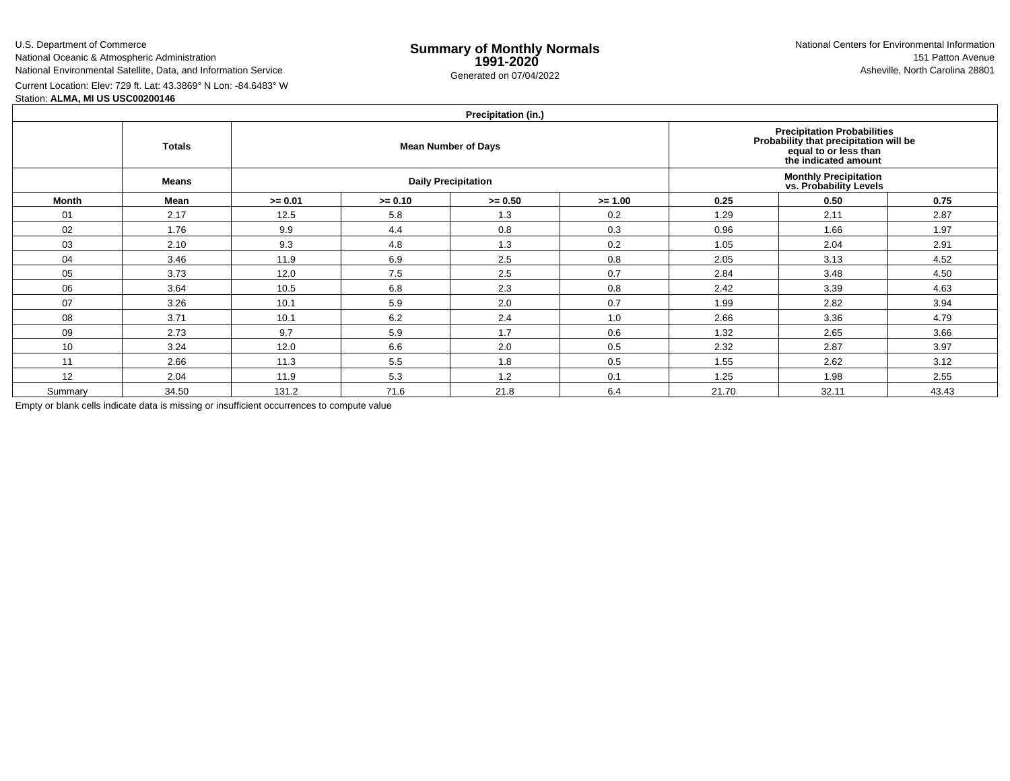U.S. Department of Commerce

National Oceanic & Atmospheric Administration

National Environmental Satellite, Data, and Information Service

Current Location: Elev: 729 ft. Lat: 43.3869° N Lon: -84.6483° W

Station: **ALMA, MI US USC00200146**

| Precipitation (in.) |  |
|---------------------|--|
|                     |  |

|         | <b>Totals</b> | $\cdots$<br>Precipitation Probabilities<br>Probability that precipitation will be<br>equal to or less than<br><b>Mean Number of Days</b><br>the indicated amount |           |                            |           |       |                                                         |       |  |
|---------|---------------|------------------------------------------------------------------------------------------------------------------------------------------------------------------|-----------|----------------------------|-----------|-------|---------------------------------------------------------|-------|--|
|         | <b>Means</b>  |                                                                                                                                                                  |           | <b>Daily Precipitation</b> |           |       | <b>Monthly Precipitation<br/>vs. Probability Levels</b> |       |  |
| Month   | Mean          | $>= 0.01$                                                                                                                                                        | $>= 0.10$ | $>= 0.50$                  | $>= 1.00$ | 0.25  | 0.50                                                    | 0.75  |  |
| 01      | 2.17          | 12.5                                                                                                                                                             | 5.8       | 1.3                        | 0.2       | 1.29  | 2.11                                                    | 2.87  |  |
| 02      | 1.76          | 9.9                                                                                                                                                              | 4.4       | 0.8                        | 0.3       | 0.96  | 1.66                                                    | 1.97  |  |
| 03      | 2.10          | 9.3                                                                                                                                                              | 4.8       | 1.3                        | 0.2       | 1.05  | 2.04                                                    | 2.91  |  |
| 04      | 3.46          | 11.9                                                                                                                                                             | 6.9       | 2.5                        | 0.8       | 2.05  | 3.13                                                    | 4.52  |  |
| 05      | 3.73          | 12.0                                                                                                                                                             | 7.5       | 2.5                        | 0.7       | 2.84  | 3.48                                                    | 4.50  |  |
| 06      | 3.64          | 10.5                                                                                                                                                             | 6.8       | 2.3                        | 0.8       | 2.42  | 3.39                                                    | 4.63  |  |
| 07      | 3.26          | 10.1                                                                                                                                                             | 5.9       | 2.0                        | 0.7       | 1.99  | 2.82                                                    | 3.94  |  |
| 08      | 3.71          | 10.1                                                                                                                                                             | 6.2       | 2.4                        | 1.0       | 2.66  | 3.36                                                    | 4.79  |  |
| 09      | 2.73          | 9.7                                                                                                                                                              | 5.9       | 1.7                        | 0.6       | 1.32  | 2.65                                                    | 3.66  |  |
| 10      | 3.24          | 12.0                                                                                                                                                             | 6.6       | 2.0                        | 0.5       | 2.32  | 2.87                                                    | 3.97  |  |
| 11      | 2.66          | 11.3                                                                                                                                                             | 5.5       | 1.8                        | 0.5       | 1.55  | 2.62                                                    | 3.12  |  |
| 12      | 2.04          | 11.9                                                                                                                                                             | 5.3       | 1.2                        | 0.1       | 1.25  | 1.98                                                    | 2.55  |  |
| Summary | 34.50         | 131.2                                                                                                                                                            | 71.6      | 21.8                       | 6.4       | 21.70 | 32.11                                                   | 43.43 |  |

Empty or blank cells indicate data is missing or insufficient occurrences to compute value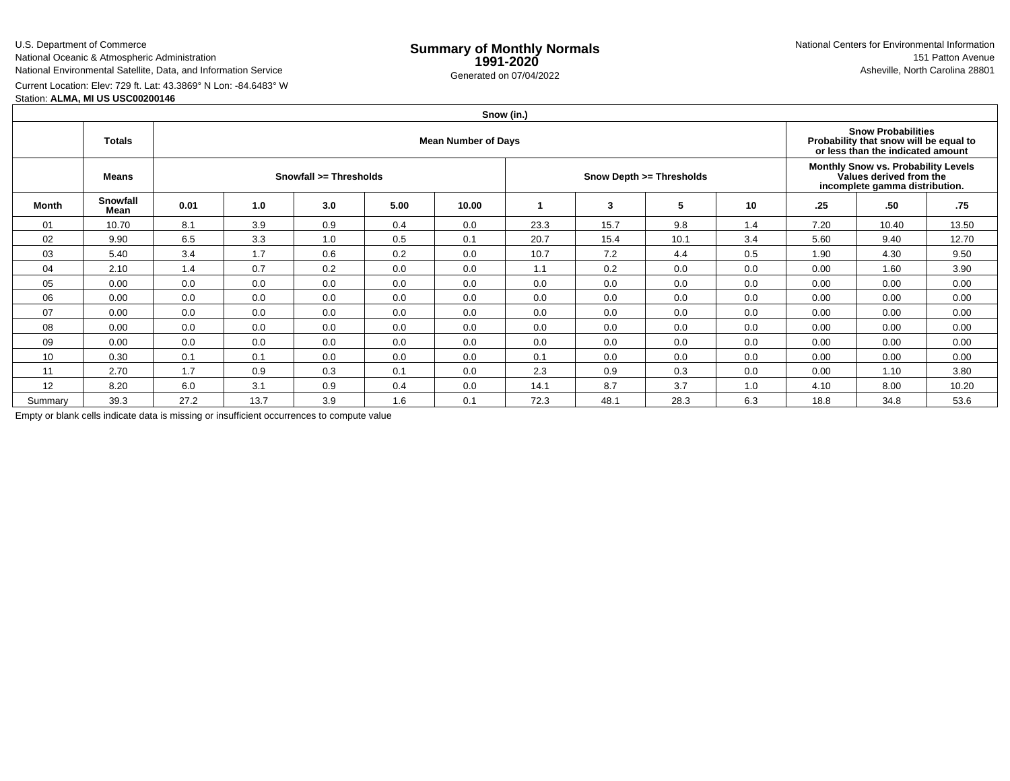U.S. Department of Commerce

National Oceanic & Atmospheric Administration

National Environmental Satellite, Data, and Information Service

Current Location: Elev: 729 ft. Lat: 43.3869° N Lon: -84.6483° W

Station: **ALMA, MI US USC00200146**

|         |                  |      |      |                                                                                                          |      |       | Snow (in.) |      |                          |     |                                                                                                  |       |       |  |
|---------|------------------|------|------|----------------------------------------------------------------------------------------------------------|------|-------|------------|------|--------------------------|-----|--------------------------------------------------------------------------------------------------|-------|-------|--|
|         | Totals           |      |      | <b>Snow Probabilities</b><br>Probability that snow will be equal to<br>or less than the indicated amount |      |       |            |      |                          |     |                                                                                                  |       |       |  |
|         | Means            |      |      | Snowfall >= Thresholds                                                                                   |      |       |            |      | Snow Depth >= Thresholds |     | Monthly Snow vs. Probability Levels<br>Values derived from the<br>incomplete gamma distribution. |       |       |  |
| Month   | Snowfall<br>Mean | 0.01 | 1.0  | 3.0                                                                                                      | 5.00 | 10.00 |            | 3    | 5                        | 10  | .25                                                                                              | .50   | -75   |  |
| 01      | 10.70            | 8.1  | 3.9  | 0.9                                                                                                      | 0.4  | 0.0   | 23.3       | 15.7 | 9.8                      | 1.4 | 7.20                                                                                             | 10.40 | 13.50 |  |
| 02      | 9.90             | 6.5  | 3.3  | 1.0                                                                                                      | 0.5  | 0.1   | 20.7       | 15.4 | 10.1                     | 3.4 | 5.60                                                                                             | 9.40  | 12.70 |  |
| 03      | 5.40             | 3.4  | 1.7  | 0.6                                                                                                      | 0.2  | 0.0   | 10.7       | 7.2  | 4.4                      | 0.5 | 1.90                                                                                             | 4.30  | 9.50  |  |
| 04      | 2.10             | 1.4  | 0.7  | 0.2                                                                                                      | 0.0  | 0.0   | 1.1        | 0.2  | 0.0                      | 0.0 | 0.00                                                                                             | 1.60  | 3.90  |  |
| 05      | 0.00             | 0.0  | 0.0  | 0.0                                                                                                      | 0.0  | 0.0   | 0.0        | 0.0  | 0.0                      | 0.0 | 0.00                                                                                             | 0.00  | 0.00  |  |
| 06      | 0.00             | 0.0  | 0.0  | 0.0                                                                                                      | 0.0  | 0.0   | 0.0        | 0.0  | 0.0                      | 0.0 | 0.00                                                                                             | 0.00  | 0.00  |  |
| 07      | 0.00             | 0.0  | 0.0  | 0.0                                                                                                      | 0.0  | 0.0   | 0.0        | 0.0  | 0.0                      | 0.0 | 0.00                                                                                             | 0.00  | 0.00  |  |
| 08      | 0.00             | 0.0  | 0.0  | 0.0                                                                                                      | 0.0  | 0.0   | 0.0        | 0.0  | 0.0                      | 0.0 | 0.00                                                                                             | 0.00  | 0.00  |  |
| 09      | 0.00             | 0.0  | 0.0  | 0.0                                                                                                      | 0.0  | 0.0   | 0.0        | 0.0  | 0.0                      | 0.0 | 0.00                                                                                             | 0.00  | 0.00  |  |
| 10      | 0.30             | 0.1  | 0.1  | 0.0                                                                                                      | 0.0  | 0.0   | 0.1        | 0.0  | 0.0                      | 0.0 | 0.00                                                                                             | 0.00  | 0.00  |  |
| 11      | 2.70             | 1.7  | 0.9  | 0.3                                                                                                      | 0.1  | 0.0   | 2.3        | 0.9  | 0.3                      | 0.0 | 0.00                                                                                             | 1.10  | 3.80  |  |
| 12      | 8.20             | 6.0  | 3.1  | 0.9                                                                                                      | 0.4  | 0.0   | 14.1       | 8.7  | 3.7                      | 1.0 | 4.10                                                                                             | 8.00  | 10.20 |  |
| Summary | 39.3             | 27.2 | 13.7 | 3.9                                                                                                      | 1.6  | 0.1   | 72.3       | 48.1 | 28.3                     | 6.3 | 18.8                                                                                             | 34.8  | 53.6  |  |

Empty or blank cells indicate data is missing or insufficient occurrences to compute value